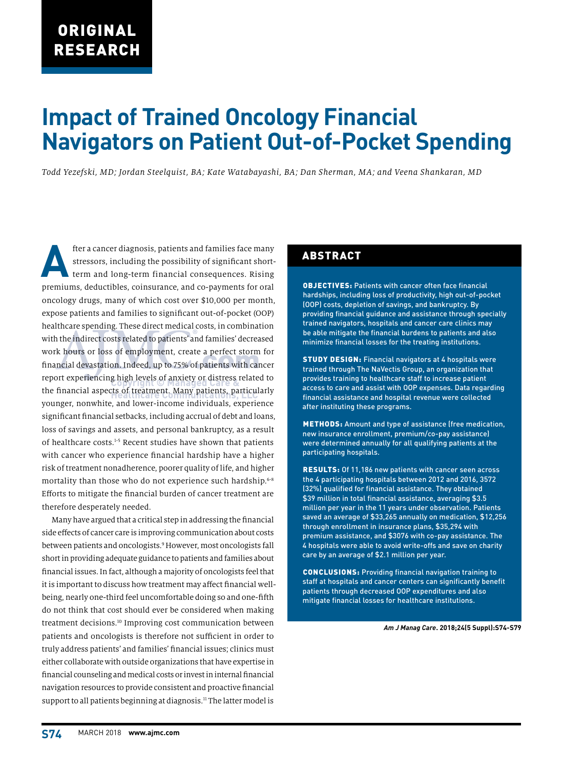# **Impact of Trained Oncology Financial Navigators on Patient Out-of-Pocket Spending**

*Todd Yezefski, MD; Jordan Steelquist, BA; Kate Watabayashi, BA; Dan Sherman, MA; and Veena Shankaran, MD*

**After a cancer diagnosis, patients and families face many stressors, including the possibility of significant short-term and long-term financial consequences. Rising** stressors, including the possibility of significant shortpremiums, deductibles, coinsurance, and co-payments for oral oncology drugs, many of which cost over \$10,000 per month, expose patients and families to significant out-of-pocket (OOP) healthcare spending. These direct medical costs, in combination with the indirect costs related to patients' and families' decreased work hours or loss of employment, create a perfect storm for financial devastation. Indeed, up to 75% of patients with cancer report experiencing high levels of anxiety or distress related to the financial aspects of treatment. Many patients, particularly younger, nonwhite, and lower-income individuals, experience significant financial setbacks, including accrual of debt and loans, loss of savings and assets, and personal bankruptcy, as a result of healthcare costs.<sup>1-5</sup> Recent studies have shown that patients with cancer who experience financial hardship have a higher risk of treatment nonadherence, poorer quality of life, and higher mortality than those who do not experience such hardship.<sup>6-8</sup> Efforts to mitigate the financial burden of cancer treatment are therefore desperately needed.

Many have argued that a critical step in addressing the financial side effects of cancer care is improving communication about costs between patients and oncologists.9 However, most oncologists fall short in providing adequate guidance to patients and families about financial issues. In fact, although a majority of oncologists feel that it is important to discuss how treatment may affect financial wellbeing, nearly one-third feel uncomfortable doing so and one-fifth do not think that cost should ever be considered when making treatment decisions.10 Improving cost communication between patients and oncologists is therefore not sufficient in order to truly address patients' and families' financial issues; clinics must either collaborate with outside organizations that have expertise in financial counseling and medical costs or invest in internal financial navigation resources to provide consistent and proactive financial support to all patients beginning at diagnosis.<sup>11</sup> The latter model is

### ABSTRACT

OBJECTIVES: Patients with cancer often face financial hardships, including loss of productivity, high out-of-pocket (OOP) costs, depletion of savings, and bankruptcy. By providing financial guidance and assistance through specially trained navigators, hospitals and cancer care clinics may be able mitigate the financial burdens to patients and also minimize financial losses for the treating institutions.

STUDY DESIGN: Financial navigators at 4 hospitals were trained through The NaVectis Group, an organization that provides training to healthcare staff to increase patient access to care and assist with OOP expenses. Data regarding financial assistance and hospital revenue were collected after instituting these programs.

METHODS: Amount and type of assistance (free medication, new insurance enrollment, premium/co-pay assistance) were determined annually for all qualifying patients at the participating hospitals.

RESULTS: Of 11,186 new patients with cancer seen across the 4 participating hospitals between 2012 and 2016, 3572 (32%) qualified for financial assistance. They obtained \$39 million in total financial assistance, averaging \$3.5 million per year in the 11 years under observation. Patients saved an average of \$33,265 annually on medication, \$12,256 through enrollment in insurance plans, \$35,294 with premium assistance, and \$3076 with co-pay assistance. The 4 hospitals were able to avoid write-offs and save on charity care by an average of \$2.1 million per year.

CONCLUSIONS: Providing financial navigation training to staff at hospitals and cancer centers can significantly benefit patients through decreased OOP expenditures and also mitigate financial losses for healthcare institutions.

*Am J Manag Care***. 2018;24(5 Suppl):S74-S79**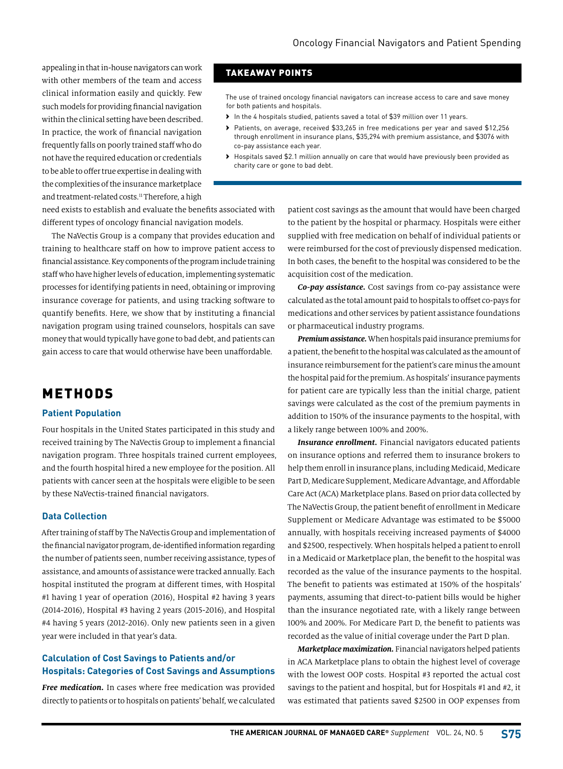appealing in that in-house navigators can work with other members of the team and access clinical information easily and quickly. Few such models for providing financial navigation within the clinical setting have been described. In practice, the work of financial navigation frequently falls on poorly trained staff who do not have the required education or credentials to be able to offer true expertise in dealing with the complexities of the insurance marketplace and treatment-related costs.<sup>11</sup> Therefore, a high

# TAKEAWAY POINTS

The use of trained oncology financial navigators can increase access to care and save money for both patients and hospitals.

- › In the 4 hospitals studied, patients saved a total of \$39 million over 11 years.
- Patients, on average, received \$33,265 in free medications per year and saved \$12,256 through enrollment in insurance plans, \$35,294 with premium assistance, and \$3076 with co-pay assistance each year.
- › Hospitals saved \$2.1 million annually on care that would have previously been provided as charity care or gone to bad debt.

need exists to establish and evaluate the benefits associated with different types of oncology financial navigation models.

The NaVectis Group is a company that provides education and training to healthcare staff on how to improve patient access to financial assistance. Key components of the program include training staff who have higher levels of education, implementing systematic processes for identifying patients in need, obtaining or improving insurance coverage for patients, and using tracking software to quantify benefits. Here, we show that by instituting a financial navigation program using trained counselors, hospitals can save money that would typically have gone to bad debt, and patients can gain access to care that would otherwise have been unaffordable.

# METHODS

#### **Patient Population**

Four hospitals in the United States participated in this study and received training by The NaVectis Group to implement a financial navigation program. Three hospitals trained current employees, and the fourth hospital hired a new employee for the position. All patients with cancer seen at the hospitals were eligible to be seen by these NaVectis-trained financial navigators.

### **Data Collection**

After training of staff by The NaVectis Group and implementation of the financial navigator program, de-identified information regarding the number of patients seen, number receiving assistance, types of assistance, and amounts of assistance were tracked annually. Each hospital instituted the program at different times, with Hospital #1 having 1 year of operation (2016), Hospital #2 having 3 years (2014-2016), Hospital #3 having 2 years (2015-2016), and Hospital #4 having 5 years (2012-2016). Only new patients seen in a given year were included in that year's data.

### **Calculation of Cost Savings to Patients and/or Hospitals: Categories of Cost Savings and Assumptions**

*Free medication.* In cases where free medication was provided directly to patients or to hospitals on patients' behalf, we calculated

patient cost savings as the amount that would have been charged to the patient by the hospital or pharmacy. Hospitals were either supplied with free medication on behalf of individual patients or were reimbursed for the cost of previously dispensed medication. In both cases, the benefit to the hospital was considered to be the acquisition cost of the medication.

*Co-pay assistance.* Cost savings from co-pay assistance were calculated as the total amount paid to hospitals to offset co-pays for medications and other services by patient assistance foundations or pharmaceutical industry programs.

*Premium assistance.* When hospitals paid insurance premiums for a patient, the benefit to the hospital was calculated as the amount of insurance reimbursement for the patient's care minus the amount the hospital paid for the premium. As hospitals' insurance payments for patient care are typically less than the initial charge, patient savings were calculated as the cost of the premium payments in addition to 150% of the insurance payments to the hospital, with a likely range between 100% and 200%.

*Insurance enrollment.* Financial navigators educated patients on insurance options and referred them to insurance brokers to help them enroll in insurance plans, including Medicaid, Medicare Part D, Medicare Supplement, Medicare Advantage, and Affordable Care Act (ACA) Marketplace plans. Based on prior data collected by The NaVectis Group, the patient benefit of enrollment in Medicare Supplement or Medicare Advantage was estimated to be \$5000 annually, with hospitals receiving increased payments of \$4000 and \$2500, respectively. When hospitals helped a patient to enroll in a Medicaid or Marketplace plan, the benefit to the hospital was recorded as the value of the insurance payments to the hospital. The benefit to patients was estimated at 150% of the hospitals' payments, assuming that direct-to-patient bills would be higher than the insurance negotiated rate, with a likely range between 100% and 200%. For Medicare Part D, the benefit to patients was recorded as the value of initial coverage under the Part D plan.

*Marketplace maximization.* Financial navigators helped patients in ACA Marketplace plans to obtain the highest level of coverage with the lowest OOP costs. Hospital #3 reported the actual cost savings to the patient and hospital, but for Hospitals #1 and #2, it was estimated that patients saved \$2500 in OOP expenses from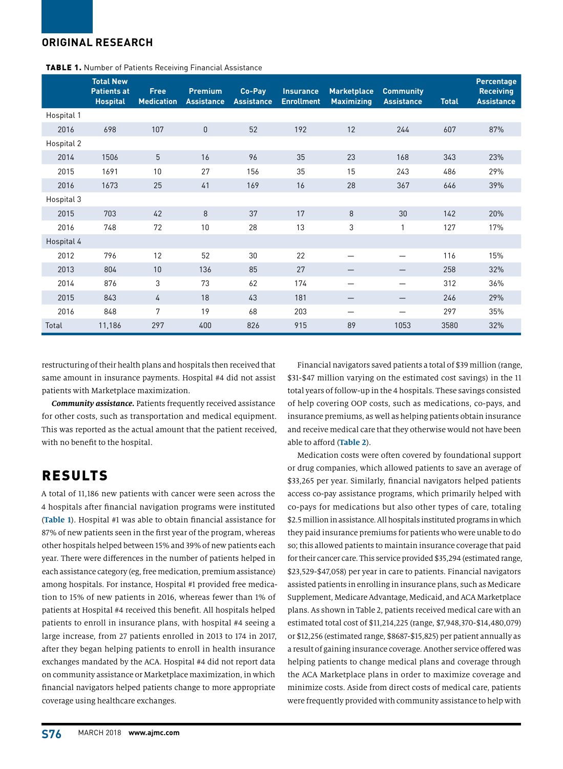# **ORIGINAL RESEARCH**

|            | <b>Total New</b><br><b>Patients at</b><br><b>Hospital</b> | <b>Free</b><br><b>Medication</b> | <b>Premium</b><br><b>Assistance</b> | Co-Pay<br><b>Assistance</b> | <b>Insurance</b><br><b>Enrollment</b> | <b>Marketplace</b><br><b>Maximizing</b> | <b>Community</b><br><b>Assistance</b> | <b>Total</b> | Percentage<br><b>Receiving</b><br><b>Assistance</b> |
|------------|-----------------------------------------------------------|----------------------------------|-------------------------------------|-----------------------------|---------------------------------------|-----------------------------------------|---------------------------------------|--------------|-----------------------------------------------------|
| Hospital 1 |                                                           |                                  |                                     |                             |                                       |                                         |                                       |              |                                                     |
| 2016       | 698                                                       | 107                              | $\mathbf{0}$                        | 52                          | 192                                   | 12                                      | 244                                   | 607          | 87%                                                 |
| Hospital 2 |                                                           |                                  |                                     |                             |                                       |                                         |                                       |              |                                                     |
| 2014       | 1506                                                      | 5                                | 16                                  | 96                          | 35                                    | 23                                      | 168                                   | 343          | 23%                                                 |
| 2015       | 1691                                                      | 10                               | 27                                  | 156                         | 35                                    | 15                                      | 243                                   | 486          | 29%                                                 |
| 2016       | 1673                                                      | 25                               | 41                                  | 169                         | 16                                    | 28                                      | 367                                   | 646          | 39%                                                 |
| Hospital 3 |                                                           |                                  |                                     |                             |                                       |                                         |                                       |              |                                                     |
| 2015       | 703                                                       | 42                               | 8                                   | 37                          | 17                                    | 8                                       | 30                                    | 142          | 20%                                                 |
| 2016       | 748                                                       | 72                               | 10                                  | 28                          | 13                                    | 3                                       | 1                                     | 127          | 17%                                                 |
| Hospital 4 |                                                           |                                  |                                     |                             |                                       |                                         |                                       |              |                                                     |
| 2012       | 796                                                       | 12                               | 52                                  | 30                          | 22                                    |                                         |                                       | 116          | 15%                                                 |
| 2013       | 804                                                       | 10                               | 136                                 | 85                          | 27                                    |                                         |                                       | 258          | 32%                                                 |
| 2014       | 876                                                       | 3                                | 73                                  | 62                          | 174                                   |                                         |                                       | 312          | 36%                                                 |
| 2015       | 843                                                       | 4                                | 18                                  | 43                          | 181                                   |                                         |                                       | 246          | 29%                                                 |
| 2016       | 848                                                       | 7                                | 19                                  | 68                          | 203                                   |                                         |                                       | 297          | 35%                                                 |
| Total      | 11,186                                                    | 297                              | 400                                 | 826                         | 915                                   | 89                                      | 1053                                  | 3580         | 32%                                                 |

TABLE 1. Number of Patients Receiving Financial Assistance

restructuring of their health plans and hospitals then received that same amount in insurance payments. Hospital #4 did not assist patients with Marketplace maximization.

*Community assistance.* Patients frequently received assistance for other costs, such as transportation and medical equipment. This was reported as the actual amount that the patient received, with no benefit to the hospital.

# RESULTS

A total of 11,186 new patients with cancer were seen across the 4 hospitals after financial navigation programs were instituted (**Table 1**). Hospital #1 was able to obtain financial assistance for 87% of new patients seen in the first year of the program, whereas other hospitals helped between 15% and 39% of new patients each year. There were differences in the number of patients helped in each assistance category (eg, free medication, premium assistance) among hospitals. For instance, Hospital #1 provided free medication to 15% of new patients in 2016, whereas fewer than 1% of patients at Hospital #4 received this benefit. All hospitals helped patients to enroll in insurance plans, with hospital #4 seeing a large increase, from 27 patients enrolled in 2013 to 174 in 2017, after they began helping patients to enroll in health insurance exchanges mandated by the ACA. Hospital #4 did not report data on community assistance or Marketplace maximization, in which financial navigators helped patients change to more appropriate coverage using healthcare exchanges.

Financial navigators saved patients a total of \$39 million (range, \$31-\$47 million varying on the estimated cost savings) in the 11 total years of follow-up in the 4 hospitals. These savings consisted of help covering OOP costs, such as medications, co-pays, and insurance premiums, as well as helping patients obtain insurance and receive medical care that they otherwise would not have been able to afford (**Table 2**).

Medication costs were often covered by foundational support or drug companies, which allowed patients to save an average of \$33,265 per year. Similarly, financial navigators helped patients access co-pay assistance programs, which primarily helped with co-pays for medications but also other types of care, totaling \$2.5 million in assistance. All hospitals instituted programs in which they paid insurance premiums for patients who were unable to do so; this allowed patients to maintain insurance coverage that paid for their cancer care. This service provided \$35,294 (estimated range, \$23,529-\$47,058) per year in care to patients. Financial navigators assisted patients in enrolling in insurance plans, such as Medicare Supplement, Medicare Advantage, Medicaid, and ACA Marketplace plans. As shown in Table 2, patients received medical care with an estimated total cost of \$11,214,225 (range, \$7,948,370-\$14,480,079) or \$12,256 (estimated range, \$8687-\$15,825) per patient annually as a result of gaining insurance coverage. Another service offered was helping patients to change medical plans and coverage through the ACA Marketplace plans in order to maximize coverage and minimize costs. Aside from direct costs of medical care, patients were frequently provided with community assistance to help with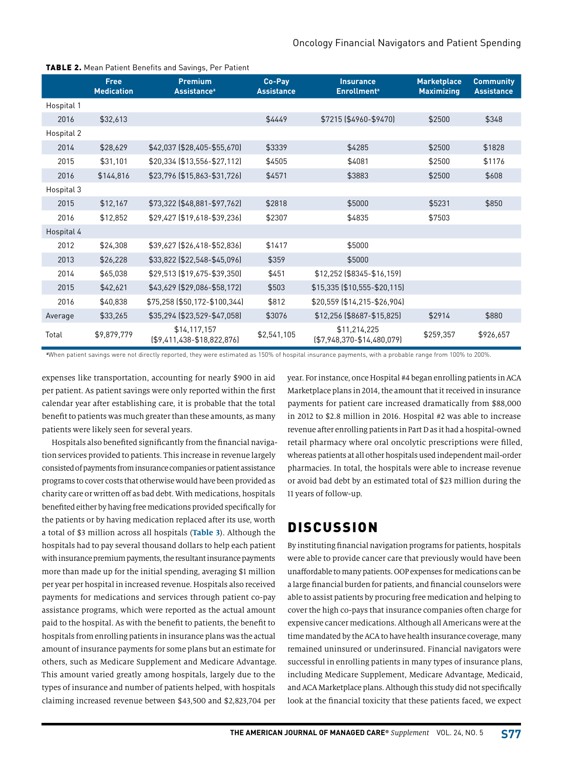|            | Free<br><b>Medication</b> | <b>Premium</b><br><b>Assistance</b> <sup>a</sup> | Co-Pay<br><b>Assistance</b> | <b>Insurance</b><br><b>Enrollment<sup>a</sup></b> | <b>Marketplace</b><br><b>Maximizing</b> | <b>Community</b><br><b>Assistance</b> |
|------------|---------------------------|--------------------------------------------------|-----------------------------|---------------------------------------------------|-----------------------------------------|---------------------------------------|
| Hospital 1 |                           |                                                  |                             |                                                   |                                         |                                       |
| 2016       | \$32,613                  |                                                  | \$4449                      | \$7215 (\$4960-\$9470)                            | \$2500                                  | \$348                                 |
| Hospital 2 |                           |                                                  |                             |                                                   |                                         |                                       |
| 2014       | \$28,629                  | \$42,037 (\$28,405-\$55,670)                     | \$3339                      | \$4285                                            | \$2500                                  | \$1828                                |
| 2015       | \$31,101                  | \$20,334 (\$13,556-\$27,112)                     | \$4505                      | \$4081                                            | \$2500                                  | \$1176                                |
| 2016       | \$144,816                 | \$23,796 (\$15,863-\$31,726)                     | \$4571                      | \$3883                                            | \$2500                                  | \$608                                 |
| Hospital 3 |                           |                                                  |                             |                                                   |                                         |                                       |
| 2015       | \$12,167                  | \$73,322 (\$48,881-\$97,762)                     | \$2818                      | \$5000                                            | \$5231                                  | \$850                                 |
| 2016       | \$12,852                  | \$29,427 (\$19,618-\$39,236)                     | \$2307                      | \$4835                                            | \$7503                                  |                                       |
| Hospital 4 |                           |                                                  |                             |                                                   |                                         |                                       |
| 2012       | \$24,308                  | \$39,627 (\$26,418-\$52,836)                     | \$1417                      | \$5000                                            |                                         |                                       |
| 2013       | \$26,228                  | \$33,822 (\$22,548-\$45,096)                     | \$359                       | \$5000                                            |                                         |                                       |
| 2014       | \$65,038                  | \$29,513 (\$19,675-\$39,350)                     | \$451                       | \$12,252 (\$8345-\$16,159)                        |                                         |                                       |
| 2015       | \$42,621                  | \$43,629 (\$29,086-\$58,172)                     | \$503                       | \$15,335 (\$10,555-\$20,115)                      |                                         |                                       |
| 2016       | \$40,838                  | \$75,258 (\$50,172-\$100,344)                    | \$812                       | \$20,559 (\$14,215-\$26,904)                      |                                         |                                       |
| Average    | \$33,265                  | \$35,294 (\$23,529-\$47,058)                     | \$3076                      | \$12,256 (\$8687-\$15,825)                        | \$2914                                  | \$880                                 |
| Total      | \$9,879,779               | \$14,117,157<br>$[$9,411,438 - $18,822,876]$     | \$2,541,105                 | \$11,214,225<br>$[$7,948,370-$14,480,079]$        | \$259,357                               | \$926,657                             |

#### TABLE 2. Mean Patient Benefits and Savings, Per Patient

**a** When patient savings were not directly reported, they were estimated as 150% of hospital insurance payments, with a probable range from 100% to 200%.

expenses like transportation, accounting for nearly \$900 in aid per patient. As patient savings were only reported within the first calendar year after establishing care, it is probable that the total benefit to patients was much greater than these amounts, as many patients were likely seen for several years.

Hospitals also benefited significantly from the financial navigation services provided to patients. This increase in revenue largely consisted of payments from insurance companies or patient assistance programs to cover costs that otherwise would have been provided as charity care or written off as bad debt. With medications, hospitals benefited either by having free medications provided specifically for the patients or by having medication replaced after its use, worth a total of \$3 million across all hospitals (**Table 3**). Although the hospitals had to pay several thousand dollars to help each patient with insurance premium payments, the resultant insurance payments more than made up for the initial spending, averaging \$1 million per year per hospital in increased revenue. Hospitals also received payments for medications and services through patient co-pay assistance programs, which were reported as the actual amount paid to the hospital. As with the benefit to patients, the benefit to hospitals from enrolling patients in insurance plans was the actual amount of insurance payments for some plans but an estimate for others, such as Medicare Supplement and Medicare Advantage. This amount varied greatly among hospitals, largely due to the types of insurance and number of patients helped, with hospitals claiming increased revenue between \$43,500 and \$2,823,704 per

year. For instance, once Hospital #4 began enrolling patients in ACA Marketplace plans in 2014, the amount that it received in insurance payments for patient care increased dramatically from \$88,000 in 2012 to \$2.8 million in 2016. Hospital #2 was able to increase revenue after enrolling patients in Part D as it had a hospital-owned retail pharmacy where oral oncolytic prescriptions were filled, whereas patients at all other hospitals used independent mail-order pharmacies. In total, the hospitals were able to increase revenue or avoid bad debt by an estimated total of \$23 million during the 11 years of follow-up.

# **DISCUSSION**

By instituting financial navigation programs for patients, hospitals were able to provide cancer care that previously would have been unaffordable to many patients. OOP expenses for medications can be a large financial burden for patients, and financial counselors were able to assist patients by procuring free medication and helping to cover the high co-pays that insurance companies often charge for expensive cancer medications. Although all Americans were at the time mandated by the ACA to have health insurance coverage, many remained uninsured or underinsured. Financial navigators were successful in enrolling patients in many types of insurance plans, including Medicare Supplement, Medicare Advantage, Medicaid, and ACA Marketplace plans. Although this study did not specifically look at the financial toxicity that these patients faced, we expect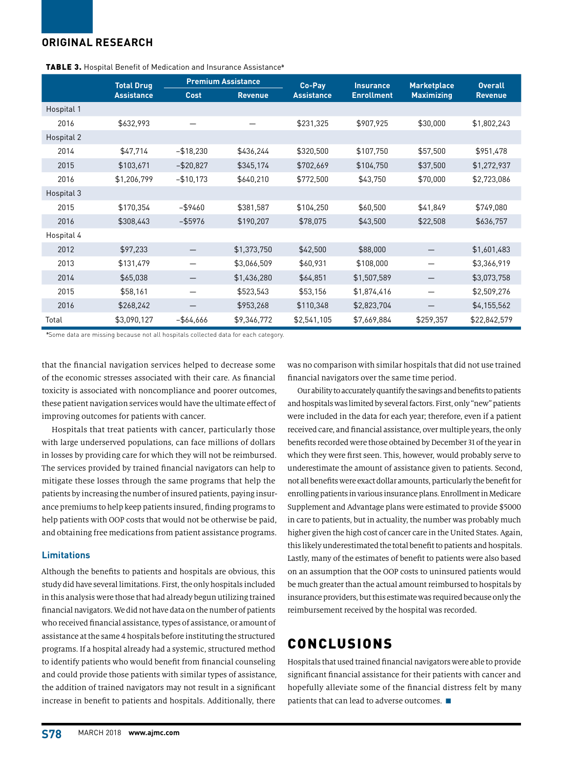# **ORIGINAL RESEARCH**

|            | <b>Total Drug</b> | <b>Premium Assistance</b> |                | Co-Pay            | <b>Insurance</b>  | <b>Marketplace</b> | <b>Overall</b> |
|------------|-------------------|---------------------------|----------------|-------------------|-------------------|--------------------|----------------|
|            | <b>Assistance</b> | <b>Cost</b>               | <b>Revenue</b> | <b>Assistance</b> | <b>Enrollment</b> | <b>Maximizing</b>  | <b>Revenue</b> |
| Hospital 1 |                   |                           |                |                   |                   |                    |                |
| 2016       | \$632,993         |                           |                | \$231,325         | \$907,925         | \$30,000           | \$1,802,243    |
| Hospital 2 |                   |                           |                |                   |                   |                    |                |
| 2014       | \$47,714          | $-$18,230$                | \$436,244      | \$320,500         | \$107,750         | \$57,500           | \$951,478      |
| 2015       | \$103,671         | $-$ \$20,827              | \$345,174      | \$702,669         | \$104,750         | \$37,500           | \$1,272,937    |
| 2016       | \$1,206,799       | $-$10,173$                | \$640,210      | \$772,500         | \$43,750          | \$70,000           | \$2,723,086    |
| Hospital 3 |                   |                           |                |                   |                   |                    |                |
| 2015       | \$170,354         | $-$ \$9460                | \$381,587      | \$104,250         | \$60,500          | \$41,849           | \$749,080      |
| 2016       | \$308,443         | $-$ \$5976                | \$190,207      | \$78,075          | \$43,500          | \$22,508           | \$636,757      |
| Hospital 4 |                   |                           |                |                   |                   |                    |                |
| 2012       | \$97,233          |                           | \$1,373,750    | \$42,500          | \$88,000          |                    | \$1,601,483    |
| 2013       | \$131,479         |                           | \$3,066,509    | \$60,931          | \$108,000         |                    | \$3,366,919    |
| 2014       | \$65,038          |                           | \$1,436,280    | \$64,851          | \$1,507,589       |                    | \$3,073,758    |
| 2015       | \$58,161          |                           | \$523,543      | \$53,156          | \$1,874,416       | —                  | \$2,509,276    |
| 2016       | \$268,242         |                           | \$953,268      | \$110,348         | \$2,823,704       |                    | \$4,155,562    |
| Total      | \$3,090,127       | $-$64,666$                | \$9,346,772    | \$2,541,105       | \$7,669,884       | \$259,357          | \$22,842,579   |

| <b>TABLE 3.</b> Hospital Benefit of Medication and Insurance Assistance <sup>®</sup> |
|--------------------------------------------------------------------------------------|
|--------------------------------------------------------------------------------------|

**a** Some data are missing because not all hospitals collected data for each category.

that the financial navigation services helped to decrease some of the economic stresses associated with their care. As financial toxicity is associated with noncompliance and poorer outcomes, these patient navigation services would have the ultimate effect of improving outcomes for patients with cancer.

Hospitals that treat patients with cancer, particularly those with large underserved populations, can face millions of dollars in losses by providing care for which they will not be reimbursed. The services provided by trained financial navigators can help to mitigate these losses through the same programs that help the patients by increasing the number of insured patients, paying insurance premiums to help keep patients insured, finding programs to help patients with OOP costs that would not be otherwise be paid, and obtaining free medications from patient assistance programs.

### **Limitations**

Although the benefits to patients and hospitals are obvious, this study did have several limitations. First, the only hospitals included in this analysis were those that had already begun utilizing trained financial navigators. We did not have data on the number of patients who received financial assistance, types of assistance, or amount of assistance at the same 4 hospitals before instituting the structured programs. If a hospital already had a systemic, structured method to identify patients who would benefit from financial counseling and could provide those patients with similar types of assistance, the addition of trained navigators may not result in a significant increase in benefit to patients and hospitals. Additionally, there

was no comparison with similar hospitals that did not use trained financial navigators over the same time period.

Our ability to accurately quantify the savings and benefits to patients and hospitals was limited by several factors. First, only "new" patients were included in the data for each year; therefore, even if a patient received care, and financial assistance, over multiple years, the only benefits recorded were those obtained by December 31 of the year in which they were first seen. This, however, would probably serve to underestimate the amount of assistance given to patients. Second, not all benefits were exact dollar amounts, particularly the benefit for enrolling patients in various insurance plans. Enrollment in Medicare Supplement and Advantage plans were estimated to provide \$5000 in care to patients, but in actuality, the number was probably much higher given the high cost of cancer care in the United States. Again, this likely underestimated the total benefit to patients and hospitals. Lastly, many of the estimates of benefit to patients were also based on an assumption that the OOP costs to uninsured patients would be much greater than the actual amount reimbursed to hospitals by insurance providers, but this estimate was required because only the reimbursement received by the hospital was recorded.

# CONCLUSIONS

Hospitals that used trained financial navigators were able to provide significant financial assistance for their patients with cancer and hopefully alleviate some of the financial distress felt by many patients that can lead to adverse outcomes.  $\blacksquare$